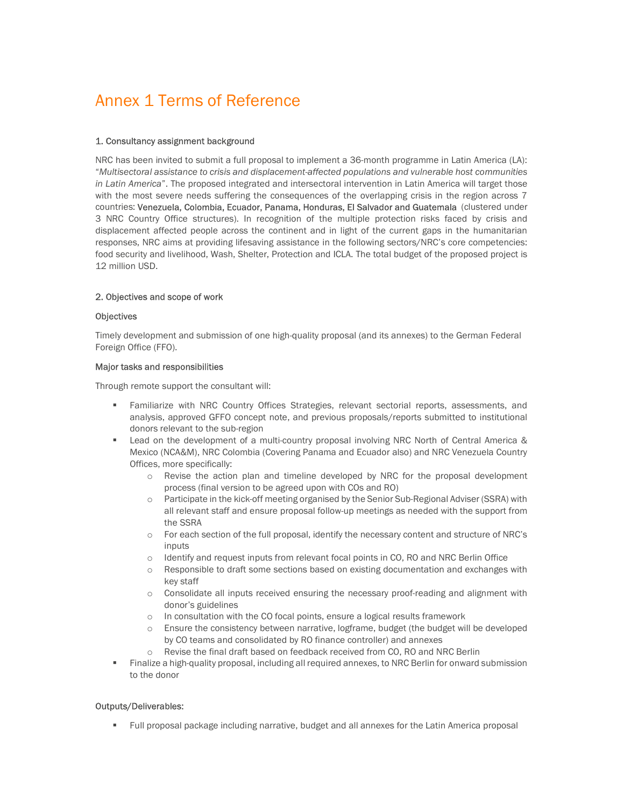# Annex 1 Terms of Reference

## 1. Consultancy assignment background

NRC has been invited to submit a full proposal to implement a 36-month programme in Latin America (LA): "Multisectoral assistance to crisis and displacement-affected populations and vulnerable host communities in Latin America". The proposed integrated and intersectoral intervention in Latin America will target those with the most severe needs suffering the consequences of the overlapping crisis in the region across 7 countries: Venezuela, Colombia, Ecuador, Panama, Honduras, El Salvador and Guatemala (clustered under 3 NRC Country Office structures). In recognition of the multiple protection risks faced by crisis and displacement affected people across the continent and in light of the current gaps in the humanitarian responses, NRC aims at providing lifesaving assistance in the following sectors/NRC's core competencies: food security and livelihood, Wash, Shelter, Protection and ICLA. The total budget of the proposed project is 12 million USD.

## 2. Objectives and scope of work

### **Objectives**

Timely development and submission of one high-quality proposal (and its annexes) to the German Federal Foreign Office (FFO).

#### Major tasks and responsibilities

Through remote support the consultant will:

- Familiarize with NRC Country Offices Strategies, relevant sectorial reports, assessments, and analysis, approved GFFO concept note, and previous proposals/reports submitted to institutional donors relevant to the sub-region
- **Example 1** Lead on the development of a multi-country proposal involving NRC North of Central America  $\&$ Mexico (NCA&M), NRC Colombia (Covering Panama and Ecuador also) and NRC Venezuela Country Offices, more specifically:
	- o Revise the action plan and timeline developed by NRC for the proposal development process (final version to be agreed upon with COs and RO)
	- o Participate in the kick-off meeting organised by the Senior Sub-Regional Adviser (SSRA) with all relevant staff and ensure proposal follow-up meetings as needed with the support from the SSRA
	- o For each section of the full proposal, identify the necessary content and structure of NRC's inputs
	- o Identify and request inputs from relevant focal points in CO, RO and NRC Berlin Office
	- o Responsible to draft some sections based on existing documentation and exchanges with key staff
	- o Consolidate all inputs received ensuring the necessary proof-reading and alignment with donor's guidelines
	- o In consultation with the CO focal points, ensure a logical results framework
	- o Ensure the consistency between narrative, logframe, budget (the budget will be developed by CO teams and consolidated by RO finance controller) and annexes
	- o Revise the final draft based on feedback received from CO, RO and NRC Berlin
- Finalize a high-quality proposal, including all required annexes, to NRC Berlin for onward submission to the donor

### Outputs/Deliverables:

Full proposal package including narrative, budget and all annexes for the Latin America proposal